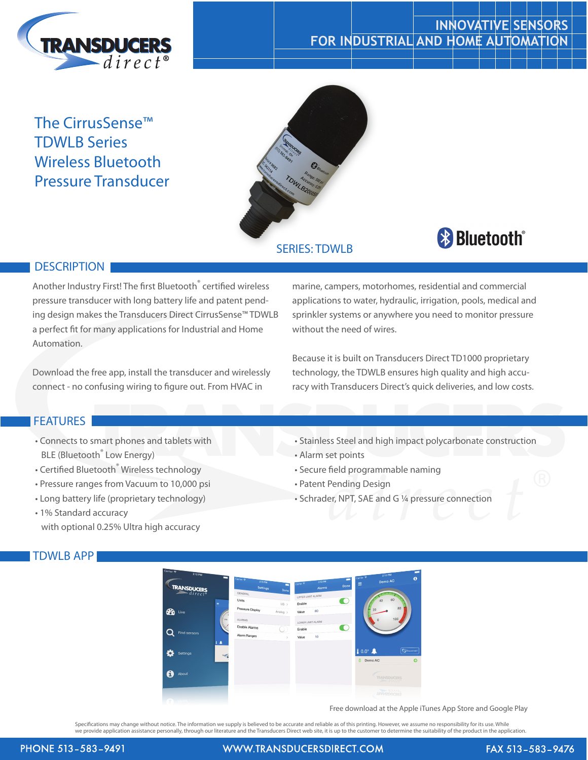

## **INNOVATIVE SENSORS FOR INDUSTRIAL AND HOME AUTOMATION**

## The CirrusSense™ TDWLB Series Wireless Bluetooth Pressure Transducer



# **& Bluetooth**®

## **DESCRIPTION**

Another Industry First! The first Bluetooth<sup>®</sup> certified wireless pressure transducer with long battery life and patent pending design makes the Transducers Direct CirrusSense™ TDWLB a perfect fit for many applications for Industrial and Home Automation.

Download the free app, install the transducer and wirelessly connect - no confusing wiring to figure out. From HVAC in

### **FEATURES**

- Connects to smart phones and tablets with BLE (Bluetooth<sup>®</sup> Low Energy)
- Certified Bluetooth<sup>®</sup> Wireless technology
- Pressure ranges from Vacuum to 10,000 psi
- Long battery life (proprietary technology)
- 1% Standard accuracy with optional 0.25% Ultra high accuracy

## TDWLB APP

marine, campers, motorhomes, residential and commercial applications to water, hydraulic, irrigation, pools, medical and sprinkler systems or anywhere you need to monitor pressure without the need of wires.

Because it is built on Transducers Direct TD1000 proprietary technology, the TDWLB ensures high quality and high accuracy with Transducers Direct's quick deliveries, and low costs.

- Stainless Steel and high impact polycarbonate construction
- Alarm set points
- Secure field programmable naming
- Patent Pending Design
- Schrader, NPT, SAE and G ¼ pressure connection



Free download at the Apple iTunes App Store and Google Play

Specifications may change without notice. The information we supply is believed to be accurate and reliable as of this printing. However, we assume no responsibility for its use. While<br>we provide application assistance per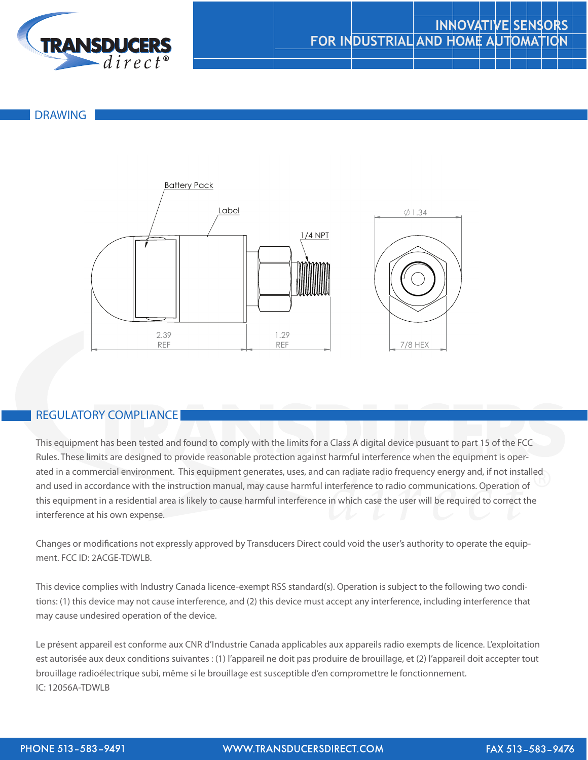

## **INNOVATIVE SENSORS FOR INDUSTRIAL AND HOME AUTOMATION**

TDWLB Overall Description

#### DRAWING



NAME SIGNATURE

### REGULATORY COMPLIANCE

ated in a commercial environment. This equipment generates, uses, and can radiate radio frequency energy and, if not installed<br>and used in accordance with the instruction manual, may cause harmful interference to radio com This equipment has been tested and found to comply with the limits for a Class A digital device pusuant to part 15 of the FCC Rules. These limits are designed to provide reasonable protection against harmful interference when the equipment is operand used in accordance with the instruction manual, may cause harmful interference to radio communications. Operation of this equipment in a residential area is likely to cause harmful interference in which case the user will be required to correct the interference at his own expense.

Changes or modifications not expressly approved by Transducers Direct could void the user's authority to operate the equipment. FCC ID: 2ACGE-TDWLB.

This device complies with Industry Canada licence-exempt RSS standard(s). Operation is subject to the following two conditions: (1) this device may not cause interference, and (2) this device must accept any interference, including interference that may cause undesired operation of the device.

Le présent appareil est conforme aux CNR d'Industrie Canada applicables aux appareils radio exempts de licence. L'exploitation est autorisée aux deux conditions suivantes : (1) l'appareil ne doit pas produire de brouillage, et (2) l'appareil doit accepter tout brouillage radioélectrique subi, même si le brouillage est susceptible d'en compromettre le fonctionnement. IC: 12056A-TDWLB